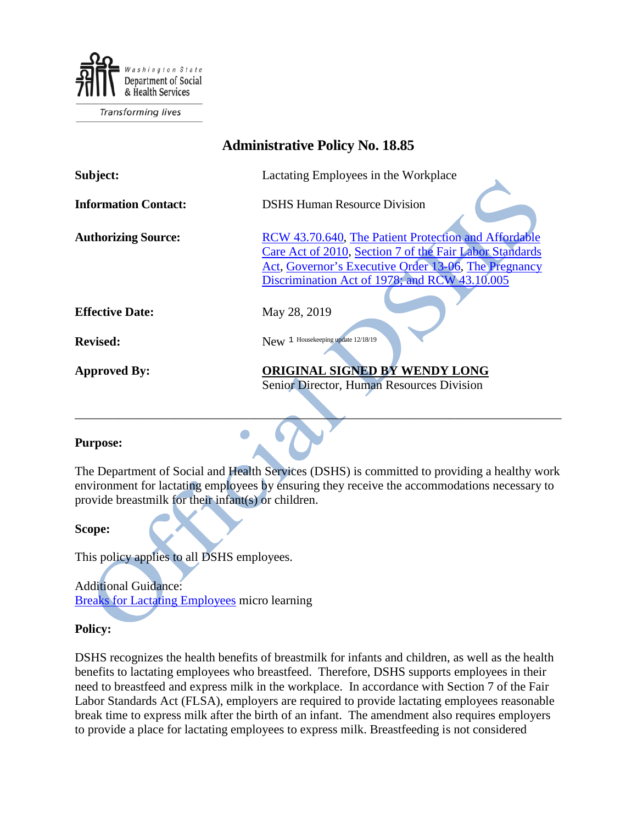

**Transforming lives** 

| <b>Administrative Policy No. 18.85</b> |                                                                                                                                                                                                                          |
|----------------------------------------|--------------------------------------------------------------------------------------------------------------------------------------------------------------------------------------------------------------------------|
| Subject:                               | Lactating Employees in the Workplace                                                                                                                                                                                     |
| <b>Information Contact:</b>            | <b>DSHS Human Resource Division</b>                                                                                                                                                                                      |
| <b>Authorizing Source:</b>             | RCW 43.70.640, The Patient Protection and Affordable<br>Care Act of 2010, Section 7 of the Fair Labor Standards<br>Act, Governor's Executive Order 13-06, The Pregnancy<br>Discrimination Act of 1978; and RCW 43.10.005 |
| <b>Effective Date:</b>                 | May 28, 2019                                                                                                                                                                                                             |
| <b>Revised:</b>                        | New 1 Housekeeping update 12/18/19                                                                                                                                                                                       |
| <b>Approved By:</b>                    | ORIGINAL SIGNED BY WENDY LONG<br>Senior Director, Human Resources Division                                                                                                                                               |

## **Purpose:**

The Department of Social and Health Services (DSHS) is committed to providing a healthy work environment for lactating employees by ensuring they receive the accommodations necessary to provide breastmilk for their infant(s) or children.

\_\_\_\_\_\_\_\_\_\_\_\_\_\_\_\_\_\_\_\_\_\_\_\_\_\_\_\_\_\_\_\_\_\_\_\_\_\_\_\_\_\_\_\_\_\_\_\_\_\_\_\_\_\_\_\_\_\_\_\_\_\_\_\_\_\_\_\_\_\_\_\_\_\_\_\_\_\_

 $\bullet$ 

## **Scope:**

This policy applies to all DSHS employees.

Additional Guidance: [Breaks for Lactating Employees](https://youtu.be/aynmXw6v2Ls) micro learning

## **Policy:**

DSHS recognizes the health benefits of breastmilk for infants and children, as well as the health benefits to lactating employees who breastfeed. Therefore, DSHS supports employees in their need to breastfeed and express milk in the workplace. In accordance with Section 7 of the Fair Labor Standards Act (FLSA), employers are required to provide lactating employees reasonable break time to express milk after the birth of an infant. The amendment also requires employers to provide a place for lactating employees to express milk. Breastfeeding is not considered